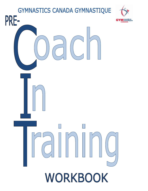## GYMNASTICS CANADA GYMNASTIQUE



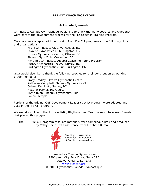### **PRE-CIT COACH WORKBOOK**

#### **Acknowledgements**

Gymnastics Canada Gymnastique would like to thank the many coaches and clubs that were part of the development process for the Pre-Coach in Training Program.

Materials were adapted with permission from Pre-CIT programs at the following clubs and organizations:

> Flicka Gymnastics Club, Vancouver, BC Loyalist Gymnastics Club, Kingston, ON Ottawa Gymnastics Centre, Ottawa, ON Phoenix Gym Club, Vancouver, BC Rhythmic Gymnastics Alberta Coach Mentoring Program Surrey Gymnastics Society, Surrey, BC Burlington Gymnastics Club, Burlington, ON

GCG would also like to thank the following coaches for their contribution as working group members:

> Tracy Bradley, Ottawa Gymnastic Centre Katherine Campbell, Phoenix Gymnastics Club Colleen Kaminski, Surrey, BC Heather Palmer, RG Alberta Twyla Ryan, Phoenix Gymnastics Club Bonnie Temple

Portions of the original CGF Development Leader (Dev'L) program were adapted and used in the Pre-CIT program.

We would also like to thank the Artistic, Rhythmic, and Trampoline clubs across Canada that piloted this program.

The GCG Pre-CIT program resource materials were compiled, edited and produced by Cathy Haines with assistance from Elisabeth Bureaud.



Association Association canadienne des entraîneurs

Gymnastics Canada Gymnastique 1900 prom City Park Drive, Suite 210 Ottawa, Ontario, K1J 1A3 [www.gymcan.org](http://www.gymcan.org/) © 2012 Gymnastics Canada Gymnastique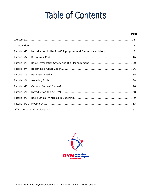# **Table of Contents**

#### Page

| Tutorial #1   |  |  |
|---------------|--|--|
| Tutorial $#2$ |  |  |
| Tutorial $#3$ |  |  |
| Tutorial #4   |  |  |
| Tutorial #5   |  |  |
| Tutorial #6   |  |  |
| Tutorial $#7$ |  |  |
| Tutorial #8   |  |  |
| Tutorial #9   |  |  |
| Tutorial #10  |  |  |
|               |  |  |

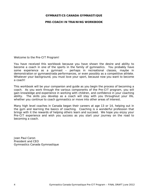#### **GYMNASTICS CANADA GYMNASTIQUE**

#### **PRE-COACH IN TRAINING WORKBOOK**

Welcome to the Pre-CIT Program!

You have received this workbook because you have shown the desire and ability to become a coach in one of the sports in the family of gymnastics. You probably have some experience as a gymnast – perhaps in recreational classes, maybe in demonstration or gymnaestrada performances, or even possibly as a competitive athlete. Whatever your background, you must love your sport, because now you want to become a coach!

This workbook will be your companion and guide as you begin the process of becoming a coach. As you work through the various components of the Pre-CIT program, you will gain knowledge and experience in working with children, and confidence in your coaching ability. The skills you develop as a coach will stay with you throughout your life, whether you continue to coach gymnastics or move into other areas of interest.

Many high level coaches in Canada began their careers at age 13 or 14, helping out in the gym and learning the basics of coaching. Coaching is a wonderful profession that brings with it the rewards of helping others learn and succeed. We hope you enjoy your Pre-CIT experience and wish you success as you start your journey on the road to becoming a coach.

Jean Paul Caron President and CEO Gymnastics Canada Gymnastique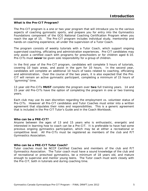#### **What is the Pre-CIT Program?**

The Pre-CIT program is a one or two year program that will introduce you to the various aspects of coaching gymnastic sports, and prepare you for entry into the Gymnastics Foundations component of the GCG National Coaching Certification Program when you reach the age of 15. The Pre-CIT program includes individual study, mentorship and hands-on coaching experience, all under the supervision of a Tutor Coach.

The program consists of weekly tutorials with a Tutor Coach, which support ongoing supervised coaching, officiating and administration experiences. Pre-CIT candidates may only assist a certified coach with programs for preschoolers or for children aged 6-10. Pre-CITs must **never** be given sole responsibility for a group of children.

In the first year of the Pre-CIT program, candidates will complete 5 hours of tutorials, covering 10 topic areas, and assist in the gym for 10 hours. In the second year, candidates will complete an additional 10 hours of tasks related to coaching, officiating and administration. Over the course of the two years, it is also expected that the Pre-CIT will remain an active gymnastic participant, completing a minimum of 15 hours of "gymming" time.

13 year old Pre-CITs **MUST** complete the program over **two** full training years. 14 and 15 year old Pre-CITs have the option of completing the program in one or two training years.

Each club may use its own discretion regarding the employment vs. volunteer status of Pre-CITs. However all Pre-CIT candidates and Tutor Coaches must enter into a written agreement that stipulates their roles and responsibilities. This is a generic agreement that is included in the Pre-CIT Tutor's Guide and in the Coach Workbook.

#### **Who can be a PRE-CIT?**

Anyone between the ages of 13 and 15 years who is enthusiastic, energetic and interested in learning how to coach can be a Pre-CIT. It is preferable to have had some previous ongoing gymnastics participation, which may be at either a recreational or competitive level. All Pre-CITs must be registered as members of the club and P/T Gymnastics Association.

#### **Who can be a PRE-CIT Tutor Coach?**

Tutor coaches must be NCCP Certified Coaches and members of the club and P/T Gymnastics Association. The Tutor coach must have a sound knowledge of the club and of recreational or preschool gymnastics, be a minimum of 18 years old, and mature enough to supervise and mentor young teens. The Tutor coach must work closely with the Pre-CIT, both in tutorials and during coaching time.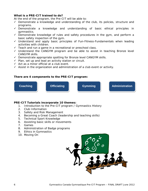### **What is a PRE-CIT trained to do?**

At the end of the program, the Pre-CIT will be able to:

- $\checkmark$  Demonstrate a knowledge and understanding of the club, its policies, structure and programs.
- $\checkmark$  Demonstrate a knowledge and understanding of basic ethical principles in gymnastics.
- $\checkmark$  Demonstrate knowledge of rules and safety procedures in the gym, and perform a basic safety inspection of the gym.
- $\checkmark$  Understand and apply basic principles of Fun-Fitness-Fundamentals when leading activities with children.
- $\checkmark$  Teach and run a game in a recreational or preschool class.
- Understand the CANGYM program and be able to assist in teaching Bronze level CANGYM skills.
- $\checkmark$  Demonstrate appropriate spotting for Bronze level CANGYM skills.
- $\checkmark$  Plan, set up and lead an activity station or circuit.
- $\checkmark$  Act as a minor official at a club event.
- $\checkmark$  Assist in the organization and administration of a club event or activity.

#### **There are 4 components to the PRE-CIT program:**



#### **PRE-CIT Tutorials incorporate 10 themes:**

- 1. Introduction to the Pre-CIT program / Gymnastics History
- 2. Club Information
- 3. Safety and Risk Management
- 4. Becoming a Great Coach (leadership and teaching skills)
- 5. Technical Sport Knowledge
- 6. Assisting basic skills or movements
- 7. Games
- 8. Administration of Badge programs
- 9. Ethics in Gymnastics
- 10. Moving On

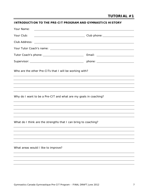#### **INTRODUCTION TO THE PRE-CIT PROGRAM AND GYMNASTICS HISTORY**

| Your Name:                                                                                                                            |  |  |  |  |
|---------------------------------------------------------------------------------------------------------------------------------------|--|--|--|--|
| Your Club:                                                                                                                            |  |  |  |  |
| Club Address:<br><u> 2000 - Jan James James Jan James James James James James James James James James James James James James Jam</u> |  |  |  |  |
|                                                                                                                                       |  |  |  |  |
|                                                                                                                                       |  |  |  |  |
|                                                                                                                                       |  |  |  |  |
| Who are the other Pre-CITs that I will be working with?                                                                               |  |  |  |  |
|                                                                                                                                       |  |  |  |  |
| Why do I want to be a Pre-CIT and what are my goals in coaching?                                                                      |  |  |  |  |
|                                                                                                                                       |  |  |  |  |
| What do I think are the strengths that I can bring to coaching?                                                                       |  |  |  |  |
|                                                                                                                                       |  |  |  |  |
| What areas would I like to improve?                                                                                                   |  |  |  |  |
|                                                                                                                                       |  |  |  |  |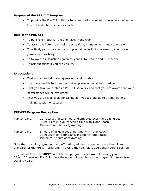#### **Purpose of the PRE-CIT Program**

• To provide the Pre-CIT with the tools and skills required to become an effective Pre-CIT and later a superior coach.

#### **Role of the PRE-CIT**

- To be a role model for the gymnasts in the club.
- To assist the Tutor Coach with class safety, management, and supervision.
- To actively participate in the group activities including warm-up, cool-down, games and flexibility.
- To follow the instructions given by your Tutor Coach and Supervisor.
- To ask questions if you are unsure.

## **Expectations**

- That you attend all training sessions and tutorials.
- If you are unable to attend, a make-up session must be scheduled.
- That you take your job as a Pre-CIT seriously and that you are aware that your performance will be evaluated.
- That you are responsible for calling in if you are unable to attend either a training session or tutorial.

## **PRE-CIT Program Description**

- Part 1/Year 1: 10 Tutorials (total 5 hours) distributed over the training year 10 hours of in-gym coaching time with Tutor Coach Minimum of 8 hours "gymming"
- Part 2/Year 2: 5 hours of in-gym coaching time with Tutor Coach 10 hours of officiating and/or administration tasks Minimum 7 hours of "gymming"

Note that coaching, gymming, and officiating/administration hours are the minimum standard for the Pre-CIT program. Pre-CITs may complete additional hours if desired.

13 year old Pre-CITs **MUST** complete the program over **two** full training years. 14 and 15 year old Pre-CITs have the option of completing the program in one or two training years.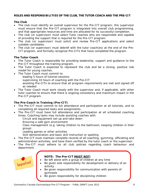## **ROLES AND RESPONSIBILITIES OF THE CLUB, THE TUTOR COACH AND THE PRE-CIT**

## **The Club**

- The club must identify an overall supervisor for the Pre-CIT program; this supervisor must ensure that the Pre-CIT program is integrated into overall club programming, and that appropriate resources and time are allocated for its successful completion.
- The club (or supervisor) must select Tutor coaches who are responsible and capable of providing the support that is required for the Pre-CIT program.
- The club (or supervisor) must solicit and review Pre-CIT applications and select suitable candidates.
- The club (or supervisor) must debrief with the tutor coach(es) at the end of the Pre-CIT program, and formally recognize Pre-CITs that have completed the program.

## **The Tutor Coach**

- The Tutor Coach is responsible for providing leadership, support and guidance to the Pre-CIT throughout the training program.
- The Tutor Coach is expected to represent the club and be a strong, positive role model for young coaches.
- The Tutor Coach must commit to:
	- <sup>−</sup> leading 5 hours of tutorial sessions
	- supervising 10 hours of coaching with the Pre-CIT
	- assisting Pre-CITs to ensure that all program requirements are met and signed off as needed
- The Tutor Coach must work closely with the supervisor and, if applicable, with other tutor coaches to ensure that there is ongoing consistency and maximum impact in the Pre-CIT program.

## **The Pre-Coach in Training (Pre-CIT)**

- The Pre-CIT must commit to full attendance and participation at all tutorials, and to completing all required tasks and assignments.
- The Pre-CIT must have full attendance and participation at all scheduled coaching times. Coaching tasks may include assisting coaches with:
	- <sup>−</sup> Circuit and equipment set-up and take down
	- <sup>−</sup> Ensuring a safe gym environment
	- <sup>−</sup> Class management (e.g. taking children to the bathroom, keeping children in their group)
	- Leading games or other activities
	- Skill demonstration and basic skill instruction or spotting
- The Pre-CIT must maintain complete records of all coaching, gymming, officiating and administration activities, and have them verified by the tutor coach or the supervisor.
- The Pre-CIT must adhere to all club policies regarding coach behaviour and deportment.



## **NOTE: The Pre-CIT MUST NOT:**

- Be left alone with a group of children at any time
- Be given sole responsibility for development or delivery of an activity
- Be given responsibility for communication with parents of gymnasts
- Be given responsibility for disciplining children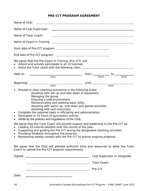## **PRE-CIT PROGRAM AGREEMENT**

| Name of Tutor Coach:<br><u> 1980 - Johann Stoff, deutscher Stoffen und der Stoffen und der Stoffen und der Stoffen und der Stoffen und d</u>                                                                                                                                                                                                                                                                                                                                                                                                                                                           |  |  |  |  |
|--------------------------------------------------------------------------------------------------------------------------------------------------------------------------------------------------------------------------------------------------------------------------------------------------------------------------------------------------------------------------------------------------------------------------------------------------------------------------------------------------------------------------------------------------------------------------------------------------------|--|--|--|--|
|                                                                                                                                                                                                                                                                                                                                                                                                                                                                                                                                                                                                        |  |  |  |  |
|                                                                                                                                                                                                                                                                                                                                                                                                                                                                                                                                                                                                        |  |  |  |  |
|                                                                                                                                                                                                                                                                                                                                                                                                                                                                                                                                                                                                        |  |  |  |  |
| We agree that the Pre-Coach in Training (Pre-CIT) will:<br>• Attend and actively participate in all 10 tutorials<br>• Assist the Tutor coach with the following class: _____________________________                                                                                                                                                                                                                                                                                                                                                                                                   |  |  |  |  |
| Held on:<br>$\begin{picture}(150,10) \put(0,0){\vector(1,0){100}} \put(15,0){\vector(1,0){100}} \put(15,0){\vector(1,0){100}} \put(15,0){\vector(1,0){100}} \put(15,0){\vector(1,0){100}} \put(15,0){\vector(1,0){100}} \put(15,0){\vector(1,0){100}} \put(15,0){\vector(1,0){100}} \put(15,0){\vector(1,0){100}} \put(15,0){\vector(1,0){100}} \put(15,0){\vector(1,0){100}}$                                                                                                                                                                                                                         |  |  |  |  |
|                                                                                                                                                                                                                                                                                                                                                                                                                                                                                                                                                                                                        |  |  |  |  |
| Provide in-class coaching assistance in the following areas:<br>$\bullet$<br>Assisting with set-up and take down of equipment.<br>Managing the group.<br>$\mathbf{r}$<br>Ensuring a safe environment.<br>$\sim$<br>Demonstrating and spotting basic skills.<br>$\omega_{\rm{max}}$<br>- Assisting with warm-up, cool down and games activities.<br>Assisting with skill instruction.<br>Complete the required tasks in officiating and administration.<br>$\bullet$<br>Participate in 15 hours of gymnastics activity.<br>$\bullet$<br>Abide by the policies and regulations of the Club.<br>$\bullet$ |  |  |  |  |
| We agree that the Tutor Coach will provide support and leadership to the Pre-CIT by:<br>Leading 10 tutorial sessions over the course of the year.<br>Supporting and guiding the Pre-CIT during the designated coaching activities.<br>$\bullet$<br>Providing feedback throughout the program.<br>$\bullet$<br>Maintaining weekly contact with the Pre-CIT to ensure ongoing progress.<br>$\bullet$                                                                                                                                                                                                     |  |  |  |  |
| We agree that the Club will allocate sufficient time and resources to allow the Tutor<br>Coach to uphold the Pre-CIT program requirements.                                                                                                                                                                                                                                                                                                                                                                                                                                                             |  |  |  |  |

| Signed:<br><u> 1980 - Jan Stein Stein Stein Stein Stein Stein Stein Stein Stein Stein Stein Stein Stein Stein Stein Stein S</u> | Club Supervisor or Designate |
|---------------------------------------------------------------------------------------------------------------------------------|------------------------------|
|                                                                                                                                 | <b>Tutor Coach</b>           |
|                                                                                                                                 | Pre-CIT                      |
| Date:                                                                                                                           |                              |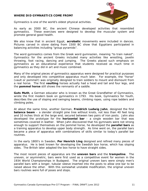#### **WHERE DID GYMNASTICS COME FROM?**



Gymnastics is one of the world's oldest physical activities.

As early as 2000 BC, the ancient Chinese developed activities that resembled gymnastics. These exercises were designed to develop the muscular system and promote general good health.

We also know that in ancient Egypt, **acrobatic** movements were included in dances. Pictures carved in stone dating from 1500 BC show that Egyptians participated in balancing activities including "group pyramids".

The word gymnastics comes from the Greek word *gumnazien*, meaning "to train naked". Gymnastics for the ancient Greeks included many activities like wrestling, javelin throwing, foot racing, dancing and jumping. The Greeks placed such emphasis on gymnastics as an educational experience that students received as much time in gymnastics as they did in art and music combined.

Many of the original pieces of gymnastics apparatus were designed for practical purposes and only developed into competitive apparatus much later. For example, the "horse" (vault or pommel!) was originally designed to train soldiers to mount and dismount from a real horse. The first **vaulting** horses actually had a head and tail and four legs, and the **pommel horse** still shows the remnants of a saddle.

**Guts Muth**, a German educator who is known as the Great Grandfather of Gymnastics, wrote the first modern book on gymnastics in 1793. His book, *Gymnastics for Youth*, describes the use of sloping and swinging beams, climbing ropes, using rope ladders and climbing poles.

At about the same time, another German, **Freidrich Ludwig Jahn**, designed the first **balance beam** - a slender straight pine tree without knots, not less than 40 feet long and 10 inches thick at the large end, secured between two pairs of iron posts. Jahn also developed the prototype for the **horizontal bar** - a single wooden bar that was sometimes covered in leather. When Jahn discovered that his gymnasts were not strong enough to support themselves on the pommel horse, he developed the **parallel bars** as a training apparatus to develop upper body strength. As time went on, the parallel bars became a piece of apparatus with combinations of skills similar to today's parallel bar routines.

In the early 1800's in Sweden, **Per Henrich Ling** designed and refined many pieces of apparatus. He is best known for developing the Swedish box horse, which has sloping sides. The British later adapted the box horse to have straight sides.

The most recent pieces of apparatus are the **uneven bars** and the **trampoline**. The uneven, or asymmetric, bars were first used as a competitive event for women in the 1934 World Championships in Budapest. The original uneven bars were simply men's parallel bars with a longer, tubular sleeve inserted into the posts to allow one bar to be raised above the other. With this somewhat unstable modification, the original uneven bars routines were full of poses and stops.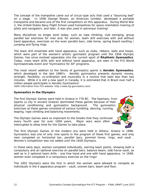The concept of the trampoline came out of circus-type acts that used a "bouncing bed" on a stage. In 1936 George Nissen, an American tumbler, developed a portable trampoline and became one of the first competitors on this apparatus. During World War 2, the United States Navy Flight School used trampolines for space orientation training of pilots and navigators, and later, it was also used in astronaut training!

Many disciplines no longer exist today, such as rope climbing, club swinging, group parallel bar exercises for men and, for women, team drill exercises with and without hand apparatus, exercises on the even parallel bars, side horse, spring board vaulting / jumping and flying rings.

The team drill ensemble with hand apparatus, such as clubs, ribbons, balls and hoops, which were part of the women's artistic gymnastic program until the 1956 Olympic Games, has since evolved separately into the current sport of **Rhythmic Gymnastics**. Today, mass team drills with and without hand apparatus, are seen in the FIG World Gymnaestrada event and "Gymnastics for All" programs.

The most recent addition to the family of gymnastics sports is **Aerobic Gymnastics**, which developed in the late 1980's. Aerobic gymnastics presents dynamic moves, strength, flexibility, co-ordination and musicality in a routine that lasts less than two minutes. While it is still a new sport in Canada, it is estimated that in Brazil over half a million people participate in Aerobic Gymnastics!

*(With information from FIG website: http://www.fig-gymnastics.com)*

#### **Gymnastics in the Olympics**

The first Olympic Games were held in Greece in 776 BC. The Spartans, from Sparta (a city in ancient Greece) dominated these games because of their physical conditioning and gymnastics background. The gymnastics exercises at these games consisted of various tumbling, dancing, running, leaping, rope climbing and balancing movements.

The Olympic Games were so important to the Greeks that they continued every fourth year for over 1000 years. Major wars were often interrupted to allow time for the Games to take place.

The first Olympic Games of the modern era were held in Athens, Greece in 1896. Gymnastics was one of only nine sports in the program of these first games, and only men competed on horizontal bar, parallel bars, pommel horse, rings, and vault . Women's competition was not added until the 1928 Olympics.

In these early days, women competed individually, earning team points, showing both a compulsory and an optional exercise on parallel bars, balance beam, side horse vault, as well as in 2 optional team drills - one free hand and one with hand apparatus. In 1948, women even competed in a compulsory exercise on the rings!

The 1952 Olympics were the first in which the women were allowed to compete as individuals in the 4 apparatus program - vault, uneven bars, beam and floor.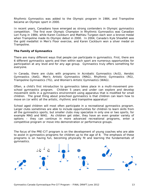Rhythmic Gymnastics was added to the Olympic program in 1984, and Trampoline became an Olympic sport in 2000.

In recent years, Canadians have emerged as strong contenders in Olympic gymnastics competition. The first ever Olympic Champion in Rhythmic Gymnastics was Canadian Lori Fung in 1984, while Karen Cockburn and Mathieu Turgeon each won a bronze medal when Trampoline made its Olympic debut in 2000. In 2004, Canada's Kyle Shewfelt was the gold medallist in Men's Floor exercise, and Karen Cockburn won a silver medal on Trampoline.

## **The Family of Gymnastics**

There are many different ways that people can participate in gymnastics. First, there are 6 different gymnastics sports and then within each sport are numerous opportunities for participation at any level and for any age group. Gymnastics truly offers something for everyone.

In Canada, there are clubs with programs in Acrobatic Gymnastics (AcG), Aerobic Gymnastics (AeG), Men's Artistic Gymnastics (MAG), Rhythmic Gymnastics (RG), Trampoline Gymnastics (TG), and Women's Artistic Gymnastics (WAG).

Often, a child's first introduction to gymnastics takes place in a multi-movement preschool gymnastics program. Children 5 years and under can explore and develop movement skills in a gymnastics environment using apparatus that is modified for small children. The great thing about preschool gymnastics is that children can learn how to move on (or with) all the artistic, rhythmic and trampoline apparatus!

School aged children will most often participate in a recreational gymnastics program. Larger clubs sometimes are able to include opportunities for children to learn skills from all the gymnastics sports, but smaller clubs may specialize in only one or two sports, for example MAG and WAG. As children get older, they have an even greater variety of options – they can continue in more advanced recreational programs, enter a competitive program or move into demonstration or performance groups.

The focus of the PRE-CIT program is on the development of young coaches who are able to assist in gymnastics programs for children up to the age of 8. The emphasis of these programs is on having fun, becoming physically fit and le[arning the fun](http://www.pdclipart.org/displayimage.php?album=93&pos=18)damentals of gymnastics.

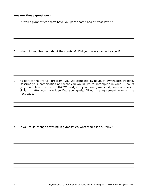#### **Answer these questions:**

1. In which gymnastics sports have you participated and at what levels?

2. What did you like best about the sport(s)? Did you have a favourite sport?

3. As part of the Pre-CIT program, you will complete 15 hours of gymnastics training. Describe your participation and what you would like to accomplish in your 15 hours (e.g. complete the next CANGYM badge, try a new gym sport, master specific skills…). After you have identified your goals, fill out the agreement form on the next page.

4. If you could change anything in gymnastics, what would it be? Why?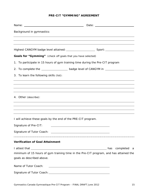## **PRE-CIT "GYMMING" AGREEMENT**

| Background in gymnastics:                                                     |                                                                                                                      |  |  |  |
|-------------------------------------------------------------------------------|----------------------------------------------------------------------------------------------------------------------|--|--|--|
|                                                                               |                                                                                                                      |  |  |  |
|                                                                               |                                                                                                                      |  |  |  |
| Goals for "Gymming" (check off goals that you have selected)                  |                                                                                                                      |  |  |  |
| 1. To participate in 15 hours of gym training time during the Pre-CIT program |                                                                                                                      |  |  |  |
|                                                                               | 2. To complete the _____________________ badge level of CANGYM in ______________                                     |  |  |  |
| 3. To learn the following skills (list):                                      |                                                                                                                      |  |  |  |
|                                                                               | ,我们也不会有什么。""我们的人,我们也不会有什么?""我们的人,我们也不会有什么?""我们的人,我们也不会有什么?""我们的人,我们也不会有什么?""我们的人                                     |  |  |  |
|                                                                               | ,我们也不会有什么。""我们的人,我们也不会有什么?""我们的人,我们也不会有什么?""我们的人,我们也不会有什么?""我们的人,我们也不会有什么?""我们的人                                     |  |  |  |
| 4. Other (describe):                                                          |                                                                                                                      |  |  |  |
|                                                                               | ,我们也不会有什么。""我们的人,我们也不会有什么?""我们的人,我们也不会有什么?""我们的人,我们也不会有什么?""我们的人,我们也不会有什么?""我们的人                                     |  |  |  |
|                                                                               | ,我们也不会有什么。""我们的人,我们也不会有什么?""我们的人,我们也不会有什么?""我们的人,我们也不会有什么?""我们的人,我们也不会有什么?""我们的人                                     |  |  |  |
| I will achieve these goals by the end of the PRE-CIT program.                 |                                                                                                                      |  |  |  |
| Signature of Pre-CIT:                                                         |                                                                                                                      |  |  |  |
|                                                                               |                                                                                                                      |  |  |  |
| <b>Verification of Goal Attainment</b>                                        |                                                                                                                      |  |  |  |
|                                                                               |                                                                                                                      |  |  |  |
| goals as described above.                                                     | minimum of 15 hours of gym training time in the Pre-CIT program, and has attained the                                |  |  |  |
| Name of Tutor Coach:                                                          | <u> 1989 - Andrea State Barbara, amerikan personal di sebagai personal di sebagai personal di sebagai personal d</u> |  |  |  |
|                                                                               |                                                                                                                      |  |  |  |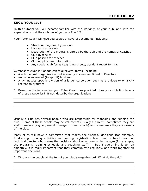#### **KNOW YOUR CLUB**

In this tutorial you will become familiar with the workings of your club, and with the expectations that the club has of you as a Pre-CIT.

Your Tutor Coach will give you copies of several documents, including:

- Structure diagram of your club
- History of your club
- Description of the programs offered by the club and the names of coaches
- Club gym rules
- Club policies for coaches
- Club employment information
- Any special club forms (e.g. time sheets, accident report forms).

Gymnastics clubs in Canada can take several forms, including:

- A not-for-profit organization that is run by a volunteer Board of Directors
- An owner-operated (for-profit) business
- A gymnastics-specific division of a larger corporation such as a university or a city recreation program
- 1. Based on the information your Tutor Coach has provided, does your club fit into any of these categories? If not, describe the organization:

Usually a club has several people who are responsible for managing and running the club. Some of these people may be volunteers (usually a parent), sometimes they are staff members (e.g. a general manager or head coach) and sometimes they are owners of the club.

Many clubs will have a committee that makes the financial decisions (for example, fundraising, running activities and setting registration fees), and a head coach or technical director who makes the decisions about what goes on in the gym (for example, the programs, training schedule and coaching staff). But if everything is to run smoothly, it is really important that they communicate regularly, and work together on important decisions.

2. Who are the people at the top of your club's organization? What do they do?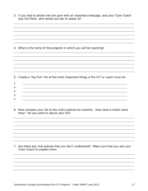|    | 3. If you had to phone into the gym with an important message, and your Tutor Coach<br>was not there, who would you ask to speak to? |
|----|--------------------------------------------------------------------------------------------------------------------------------------|
|    |                                                                                                                                      |
|    |                                                                                                                                      |
|    |                                                                                                                                      |
|    |                                                                                                                                      |
|    |                                                                                                                                      |
|    |                                                                                                                                      |
|    | 4. What is the name of the program in which you will be coaching?                                                                    |
|    |                                                                                                                                      |
|    |                                                                                                                                      |
|    |                                                                                                                                      |
|    |                                                                                                                                      |
|    |                                                                                                                                      |
|    |                                                                                                                                      |
|    |                                                                                                                                      |
|    | 5. Create a "top five" list of the most important things a Pre-CIT or coach must do.                                                 |
|    |                                                                                                                                      |
| 1. |                                                                                                                                      |
| 2. |                                                                                                                                      |
| 3. |                                                                                                                                      |
| 4. |                                                                                                                                      |
| 5. |                                                                                                                                      |
|    |                                                                                                                                      |
|    | 6. Now compare your list to the club's policies for coaches. How close a match were<br>they? Do you want to adjust your list?        |
|    |                                                                                                                                      |
|    |                                                                                                                                      |
|    |                                                                                                                                      |
|    |                                                                                                                                      |
|    |                                                                                                                                      |
|    |                                                                                                                                      |
|    |                                                                                                                                      |
|    | 7. Are there any club policies that you don't understand? Make sure that you ask your<br>Tutor Coach to explain them.                |
|    |                                                                                                                                      |
|    |                                                                                                                                      |
|    |                                                                                                                                      |
|    |                                                                                                                                      |
|    |                                                                                                                                      |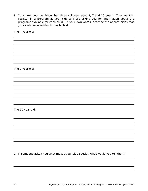8. Your next door neighbour has three children, aged 4, 7 and 10 years. They want to register in a program at your club and are asking you for information about the programs available for each child. In your own words, describe the opportunities that your club has available for each child.

The 4 year old:

The 7 year old:

The 10 year old:

9. If someone asked you what makes your club special, what would you tell them?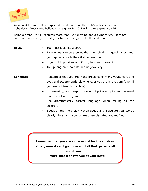

As a Pre-CIT, you will be expected to adhere to all the club's policies for coach behaviour. Most clubs believe that a great Pre-CIT will make a great coach!

Being a great Pre-CIT requires more than just knowing about gymnastics. Here are some reminders as you start your time in the gym with the children.

- **Dress:** You must look like a coach.
	- Parents want to be assured that their child is in good hands, and your appearance is their first impression.
	- If your club provides a uniform, be sure to wear it.
	- Tie up long hair, no hats and no jewellery.
- **Language:** Remember that you are in the presence of many young ears and eyes and act appropriately whenever you are in the gym (even if you are not teaching a class).
	- No swearing, and keep discussion of private topics and personal matters out of the gym.
	- Use grammatically correct language when talking to the children.
	- Speak a little more slowly than usual, and articulate your words clearly. In a gym, sounds are often distorted and muffled.

**Remember that you are a role model for the children. Your gymnasts will go home and tell their parents all about you … … make sure it shows you at your best!**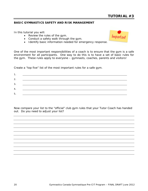Important

## **BASIC GYMNASTICS SAFETY AND RISK MANAGEMENT**

In this tutorial you will:

- Review the rules of the gym.
- Conduct a safety walk through the gym.
- Identify basic information needed for emergency response.

One of the most important responsibilities of a coach is to ensure that the gym is a safe environment for all participants. One way to do this is to have a set of basic rules for the gym. These rules apply to everyone – gymnasts, coaches, parents and visitors!

Create a "top five" list of the most important rules for a safe gym.

| 2. |  |
|----|--|
| 3. |  |
| 4. |  |
| 5. |  |

Now compare your list to the "official" club gym rules that your Tutor Coach has handed out. Do you need to adjust your list?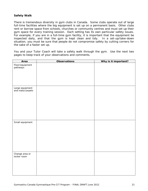#### **Safety Walk**

There is tremendous diversity in gym clubs in Canada. Some clubs operate out of large full-time facilities where the big equipment is set up on a permanent basis. Other clubs rent or borrow space from schools, churches or community centres and must set up their gym space for every training session. Each setting has its own particular safety issues. For example, if you are in a full-time gym facility, it is important that the equipment be inspected daily, and that the gym is kept clean and tidy. In a set-up/take-down situation, you must be sure that people do not compromise safety by cutting corners for the sake of a faster set up.

You and your Tutor Coach will take a safety walk through the gym. Use the next two pages to keep track of your observations and comments.

| Area                                | <b>Observations</b> | Why is it important? |
|-------------------------------------|---------------------|----------------------|
| Floor/equipment<br>pathways         |                     |                      |
|                                     |                     |                      |
|                                     |                     |                      |
| Large equipment<br>and mats/carpets |                     |                      |
|                                     |                     |                      |
|                                     |                     |                      |
|                                     |                     |                      |
|                                     |                     |                      |
| Small equipment                     |                     |                      |
|                                     |                     |                      |
|                                     |                     |                      |
|                                     |                     |                      |
| Change area or<br>locker room       |                     |                      |
|                                     |                     |                      |
|                                     |                     |                      |
|                                     |                     |                      |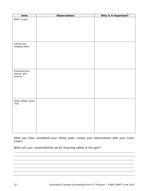| Area                          | <b>Observations</b> | Why is it important? |
|-------------------------------|---------------------|----------------------|
| Walls in gym                  |                     |                      |
|                               |                     |                      |
|                               |                     |                      |
|                               |                     |                      |
|                               |                     |                      |
|                               |                     |                      |
| Ceiling and<br>hanging items  |                     |                      |
|                               |                     |                      |
|                               |                     |                      |
|                               |                     |                      |
|                               |                     |                      |
|                               |                     |                      |
| Entrance/exits                |                     |                      |
| interior and<br>exterior      |                     |                      |
|                               |                     |                      |
|                               |                     |                      |
|                               |                     |                      |
|                               |                     |                      |
|                               |                     |                      |
|                               |                     |                      |
| Other safety issues<br>(list) |                     |                      |
|                               |                     |                      |
|                               |                     |                      |
|                               |                     |                      |
|                               |                     |                      |
|                               |                     |                      |
|                               |                     |                      |
|                               |                     |                      |

After you have completed your safety walk, review your observations with your Tutor Coach.

What will your responsibilities be for ensuring safety in the gym?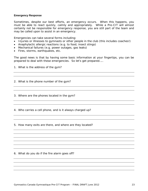#### **Emergency Response**

Sometimes, despite our best efforts, an emergency occurs. When this happens, you must be able to react quickly, calmly and appropriately. While a Pre-CIT will almost certainly not be responsible for emergency response, you are still part of the team and may be called upon to assist in an emergency.

Emergencies can take several forms including:

- Injuries or illnesses to gymnasts or other people in the club (this includes coaches!)
- Anaphylactic allergic reactions (e.g. to food, insect stings)
- Mechanical failures (e.g. power outages, gas leaks)
- Fires, storms, earthquakes, etc.

The good news is that by having some basic information at your fingertips, you can be prepared to deal with these emergencies. So let's get prepared…..

1. What is the address of the gym?

2. What is the phone number of the gym?

3. Where are the phones located in the gym?

4. Who carries a cell phone, and is it always charged up?

5. How many exits are there, and where are they located?

6. What do you do if the fire alarm goes off?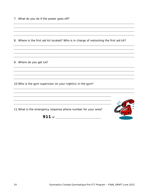|  |  |  | 7. What do you do if the power goes off? |  |
|--|--|--|------------------------------------------|--|
|  |  |  |                                          |  |

8. Where is the first aid kit located? Who is in charge of restocking the first aid kit?

9. Where do you get ice?

10.Who is the gym supervisor on your night(s) in the gym?

11.What is the emergency response phone number for your area? **911** or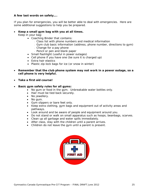## **A few last words on safety….**

If you plan for emergencies, you will be better able to deal with emergencies. Here are some additional suggestions to help you be prepared.

#### • **Keep a small gym bag with you at all times.**

Keep in your bag:

- Coaching Binder that contains:
	- <sup>−</sup> Class list with phone numbers and medical information
	- <sup>−</sup> Gym club basic information (address, phone number, directions to gym)
	- <sup>−</sup> Change for a pay phone
	- <sup>−</sup> Pencil or pen and blank paper
- Small flashlight (useful in power outages)
- Cell phone if you have one (be sure it is charged up)
- Extra hair elastics
- Plastic zip-lock bags for ice (or snow in winter)
- **Remember that the club phone system may not work in a power outage, so a cell phone is very helpful.**
- **Take a first aid course!**

#### • **Basic gym safety rules for all gyms:**

- No gum or food in the gym. Unbreakable water bottles only.
- Hair must be tied back securely.
- No jewellery.
- No gum.
- Gym slippers or bare feet only.
- Keep extra clothing, gym bags and equipment out of activity areas and pathways.
- Look around and be aware of people and equipment around you.
- Do not stand or walk on small apparatus such as hoops, beanbags, scarves.
- Clean up all garbage and water spills immediately.
- After class, stay with the children until a parent arrives.
- Children do not leave the gym until a parent is present.

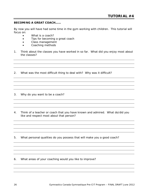#### **BECOMING A GREAT COACH……**

By now you will have had some time in the gym working with children. This tutorial will focus on:

- What is a coach?
- Tips for becoming a great coach
- Class management
- Coaching methods
- 1. Think about the classes you have worked in so far. What did you enjoy most about the classes?
- 2. What was the most difficult thing to deal with? Why was it difficult?

3. Why do you want to be a coach?

- 4. Think of a teacher or coach that you have known and admired. What do/did you like and respect most about that person?
- 5. What personal qualities do you possess that will make you a good coach?
- 6. What areas of your coaching would you like to improve?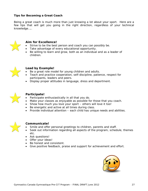## **Tips for Becoming a Great Coach**

Being a great coach is much more than just knowing a lot about your sport. Here are a few tips that will get you going in the right direction, regardless of your technical knowledge…..



## **Aim for Excellence!**

- Strive to be the best person and coach you can possibly be.
- Take advantage of every educational opportunity.
- Be willing to learn and grow, both as an individual and as a leader of children.



## **Lead by Example!**

- Be a great role model for young children and adults.
- Teach and practice cooperation, self-discipline, patience, respect for participants, leaders and peers.
- Display proper attitudes in language, dress and deportment.



## **Participate!**

- Participate enthusiastically in all that you do.
- Make your classes as enjoyable as possible for those that you coach.
- Show how much you love your sport others will love it too!
- Be energetic and active at all times during class.
- Provide individual attention each child has unique needs and abilities.



## **Communicate!**

- Smile and offer personal greetings to children, parents and staff.
- Seek out information regarding all aspects of the program, schedule, themes etc.
- Ask questions!
- Offer your ideas!
- Be honest and consistent.
- Give positive feedback, praise and support for achievement and effort.

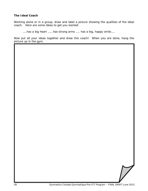### **The Ideal Coach**

Working alone or in a group, draw and label a picture showing the qualities of the ideal coach. Here are some ideas to get you started:

…..has a big heart …… has strong arms ….. has a big, happy smile…..

Now put all your ideas together and draw this coach! When you are done, hang the picture up in the gym.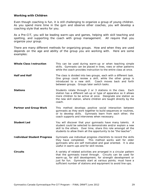#### **Working with Children**

Even though coaching is fun, it is still challenging to organize a group of young children. As you spend more time in the gym and observe other coaches, you will develop a coaching style that works for you.

As a Pre-CIT, you will be leading warm-ups and games, helping with skill teaching and spotting, and supporting the coach with group management. All require that you organize your group.

There are many different methods for organizing groups. How and when they are used depends on the age and ability of the group you are working with. Here are some examples:

| <b>Whole Class Instruction</b>     | This can be used during warm-up or when teaching simple<br>skills. Gymnasts can be placed in lines, rows or other patterns<br>while the coach provides instruction to the entire class at once.                                                                                                                                  |
|------------------------------------|----------------------------------------------------------------------------------------------------------------------------------------------------------------------------------------------------------------------------------------------------------------------------------------------------------------------------------|
| <b>Half and Half</b>               | The class is divided into two groups, each with a different task.<br>One group could review a skill, while the other group is<br>introduced to a new skill. Coach moves back and forth<br>between groups. Groups later switch tasks.                                                                                             |
| <b>Stations</b>                    | Students rotate through 2 or 3 stations in the class. Each<br>station has a different set-up or type of apparatus so it allows<br>more children to be active at once. Designate one station as<br>the new skill station, where children are taught directly by the<br>coach.                                                     |
| <b>Partner and Group Work</b>      | This method develops positive social interaction between<br>gymnasts as they work together to build sequences or routines,<br>or to develop skills. Gymnasts learn from each other; the<br>coach supports and intervenes when necessary.                                                                                         |
| <b>Student Led</b>                 | You will discover that your gymnasts have many talents. A<br>student could be selected to demonstrate and/or explain a new<br>skill to the others. Over time, share this role amongst all the<br>students to allow them all the opportunity to be "the teacher".                                                                 |
| <b>Individual Student Progress</b> | Gymnasts use individual progress checklists to record the skills<br>they have completed. This method works well for older<br>gymnasts who are self motivated and goal oriented. It is also<br>useful in warm-ups and for skill review.                                                                                           |
| <b>Circuits</b>                    | A variety of related activities are arranged in a circular pattern<br>that the gymnasts travel through. Circuits can be used for<br>warm-up, for skill development, for strength development or<br>just for fun. Gymnasts start at various points; must have a<br>sufficient number of stations and equipment to avoid line-ups. |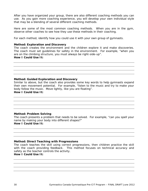After you have organized your group, there are also different coaching methods you can use. As you gain more coaching experience, you will develop your own individual style that may be a blending of several different coaching methods.

Here are some of the most common coaching methods. When you are in the gym, observe other coaches to see how they use these methods in their coaching.

For each method, identify how you could use it with your own group of gymnasts.

#### **Method: Exploration and Discovery**

The coach creates the environment and the children explore it and make discoveries. The coach must set guidelines for safety in the environment. For example, "when you are on the climbing structure, you must always be right-side-up".

## **How I Could Use It:**

#### **Method: Guided Exploration and Discovery**

Similar to above, but the coach also provides some key words to help gymnasts expand their own movement potential. For example, "listen to the music and try to make your body follow the music. Move lightly, like you are floating". **How I Could Use It:**

#### **Method: Problem Solving**

The coach presents a problem that needs to be solved. For example, "can you spell your name by making your body into different shapes?" **How I Could Use It:**

#### **Method: Direct Teaching with Progressions**

The coach teaches the skill using correct progressions, then children practice the skill with the coach providing feedback. This method focuses on technical accuracy and safety as the teacher controls the activity.

## **How I Could Use It:**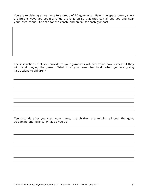You are explaining a tag game to a group of 10 gymnasts. Using the space below, show 2 different ways you could arrange the children so that they can all see you and hear your instructions. Use "C" for the coach, and an "X" for each gymnast.

The instructions that you provide to your gymnasts will determine how successful they will be at playing the game. What must you remember to do when you are giving instructions to children?

Ten seconds after you start your game, the children are running all over the gym, screaming and yelling. What do you do?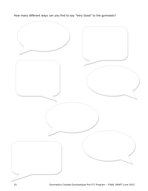How many different ways can you find to say "Very Good" to the gymnasts?

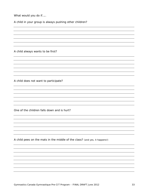What would you do if.....

A child in your group is always pushing other children?

A child always wants to be first?

A child does not want to participate?

One of the children falls down and is hurt?

A child pees on the mats in the middle of the class? *(and yes, it happens!)*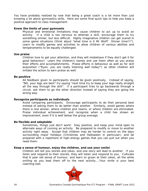You have probably realized by now that being a great coach is a lot more than just knowing a lot about gymnastics skills. Here are some final quick tips to help you keep a positive approach to class management:

#### **Know the limits of your gymnasts**

Physical and emotional limitations may cause children to act up to avoid an activity. If a child is too nervous to attempt a skill, encourage them to try something similar, but less difficult. Highly imaginative children can get scared in some game situations (*think about "what time is it Mr Wolf? Dinner time!!!"*). Learn to modify games and activities to allow children of various abilities and temperaments to be equally challenged.

#### **Use praise**

Children love to get your attention, and they will misbehave if they don't get it for good behaviour! Learn the children's names and use them often as you praise their efforts and accomplishments. Praise efforts in behaviour as well as for skill acquisition ("*Ryan, you are really listening well today!*") as other children will imitate the action to earn praise as well.

#### **Be positive**

All feedback given to participants should be given positively. Instead of saying, *"NO, your legs are bent*" try saying "*next time try to keep your legs really straight all the way through the skill*". If a participant tries to go backwards through a circuit, ask them to go the other direction instead of saying they are going the wrong way.

#### **Recognize participants as individuals**

Avoid comparing participants. Encourage participants to do their personal best instead of asking them to do better than another. Similarly, avoid games where there is one winner, where children pick teams, or where children are eliminated. Praise individual achievement, and recognize when a child has shown an improvement, even if it is well below the group average.

#### **Be flexible and adaptable**

Sometimes, things just don't work! Stay positive, and keep your mind open to alternate ways of running an activity. Be prepared to modify or move to another activity right away. Accept that children may be harder to control on the days surrounding major holidays (Christmas and Halloween in particular), and be prepared with a repertoire of high-energy games that you can pull out when you need them.

#### **Keep a sense of humour, enjoy the children, and use your smile!**

Children will tell you stories and jokes, and one story will lead to another. If you listen and respond to their stories, they will listen and respond to you. Cultivate that 6 year old sense of humour, and learn to groan at their jokes, all the while smiling as you lead them off to the next activity....Your smile is your best coaching tool.

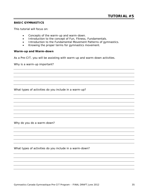#### **BASIC GYMNASTICS**

This tutorial will focus on:

- Concepts of the warm-up and warm-down.
- Introduction to the concept of Fun, Fitness, Fundamentals.
- Introduction to the Fundamental Movement Patterns of gymnastics.
- Knowing the proper terms for gymnastics movement.

#### **Warm-up and Warm-down**

As a Pre-CIT, you will be assisting with warm-up and warm-down activities.

Why is a warm-up important?

What types of activities do you include in a warm-up?

Why do you do a warm-down?

What types of activities do you include in a warm-down?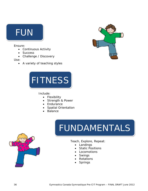# FUN

## Ensure:

- Continuous Activity
- Success
- Challenge / Discovery

Use:

• A variety of teaching styles





## Include:

- Flexibility
- Strength & Power
- Endurance
- Spatial Orientation
- Balance





Teach, Explore, Repeat:

- Landings
- **Static Positions**
- Locomotions
- Swings
- Rotations
- Springs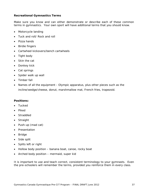### **Recreational Gymnastics Terms**

Make sure you know and can either demonstrate or describe each of these common terms in gymnastics. Your own sport will have additional terms that you should know.

- Motorcycle landing
- Tuck and roll/ Rock and roll
- Pizza hands
- Birdie fingers
- Cartwheel kickovers/bench cartwheels
- Tight body
- Skin the cat
- Donkey kick
- Cat springs
- Spider walk up wall
- Timber fall
- Names of all the equipment Olympic apparatus, plus other pieces such as the incline/wedge/cheese, donut, marshmallow mat, French fries, trapezoid.

#### **Positions:**

- Tucked
- Piked
- Straddled
- Straight
- Push-up (mad cat)
- Presentation
- Bridge
- Side split
- Splits left or right
- Hollow body position banana boat, canoe, rocky boat
- Arched body position mermaid, super kid

It is important to use and teach correct, consistent terminology to your gymnasts. Even the pre-schoolers will remember the terms, provided you reinforce them in every class.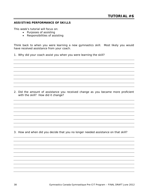#### **ASSISTING PERFORMANCE OF SKILLS**

This week's tutorial will focus on:

- Purposes of assisting
- Responsibilities of assisting

Think back to when you were learning a new gymnastics skill. Most likely you would have received assistance from your coach.

1. Why did your coach assist you when you were learning the skill?

2. Did the amount of assistance you received change as you became more proficient with the skill? How did it change?

3. How and when did you decide that you no longer needed assistance on that skill?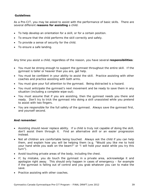## **Guidelines**

As a Pre-CIT, you may be asked to assist with the performance of basic skills. There are several different **reasons for assisting** a child:

- To help develop an orientation for a skill, or for a certain position.
- To ensure that the child performs the skill correctly and safely.
- To provide a sense of security for the child.
- To ensure a safe landing.

Any time you assist a child, regardless of the reason, you have several **responsibilities**:

- You must be strong enough to support the gymnast throughout the entire skill. If the gymnast is taller or heavier than you are, get help.
- You must be confident in your ability to assist the skill. Practice assisting with other coaches and practice assisting with both arms.
- You must give your full attention to the gymnast. Being distracted is a hazard.
- You must anticipate the gymnast's next movement and be ready to save them in any situation (including a complete wipe-out).
- You must assume that if you are assisting, then the gymnast needs you there and ready. Don't try to trick the gymnast into doing a skill unassisted while you pretend to assist with two fingers.
- You are responsible for the full safety of the gymnast. Always save the gymnast first, and yourself second.

## **And remember**:

- Assisting should never replace ability. If a child is truly not capable of doing the skill, don't assist them through it. Find an alternative skill or an easier progression instead.
- Not all children are comfortable being touched. Always ask the child if you can help them, and explain how you will be helping them (e.g. "Would you like me to hold your hand while you walk on the beam?" or "I will hold your waist while you try this turn").
- Avoid touching private areas of the body, including the chest.
- If, by mistake, you do touch the gymnast in a private area, acknowledge it and apologize right away. This should only happen in cases of emergency – for example if the gymnast is falling out of control and you grab whatever you can to make the save.
- Practice assisting with other coaches.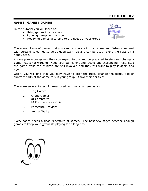#### **GAMES! GAMES! GAMES!**

In this tutorial you will focus on:

- Using games in your class
- Running games with a group
- Modifying games according to the needs of your group



There are zillions of games that you can incorporate into your lessons. When combined with stretching, games serve as good warm-up and can be used to end the class on a happy note.

Always plan more games than you expect to use and be prepared to stop and change a game that is not working. Keep your games exciting, active and challenging! Also, stop the game while the children are still involved and they will want to play it again and again.

Often, you will find that you may have to alter the rules, change the focus, add or subtract parts of the game to suit your group. Know their abilities!

There are several types of games used commonly in gymnastics:

- 1. Tag Games
- 2. Group Games a) Combative b) Co-operative / Quiet
- 3. Parachute Activities
- 4. Animal Walks

Every coach needs a good repertoire of games. The next few pages describe enough games to keep your gymnasts playing for a long time!

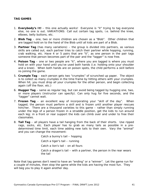## **TAG GAMES**

- 1. **Everybody's It!** this one actually works! Everyone is "it" trying to tag everyone else, no one is out. VARIATIONS: Call out certain tag spots, i.e. behind the knee, elbows, belly buttons, etc.
- 2. **Blob Tag** one, two or more children are chosen as a "Blob". Other children that are tagged hold on to the hand of the Blob until all kids are part of a Blob.
- 3. **Partner Tag** (has many variations) the group is divided into partners, as various skills are called out, each partner tries to catch their partner while hopping, running, crab walking, etc. Have 4 or 5 pairs that are "it", as one person in the pair tags someone that person becomes part of the pair and the "tagger" is now free.
- 4. **Poison Tag** one or two people are "it", where you are tagged is where you must hold on with your hand until you've used both hands (i.e. holding onto your shoulder and a knee). When both hands are on poison spots, the child performs a skill before re-joining the game.
- 5. **Crumple Tag** each person gets two "crumples" of scrunched up paper. The object is to collect as many crumples in the time frame by hitting others with your crumples. When hit, you must drop all your crumples for the other person, and begin collecting again (off the floor, etc.)
- 6. **Hugger Tag** same as regular tag, but can avoid being tagged by hugging one, two, or more players (instructor can specify). Can only hug for five seconds, and the "tagger" cannot wait.
- 7. **Frozen Tag** an excellent way of incorporating your "skill of the day". When tagged, the person must perform a skill and is frozen until another player rescues him/her. There are a thousand varieties to this game – rather than simply running under the legs of a person frozen in a straddle position, get the kids to run around each leg; in a front or rear support the kids can climb over and under to free their classmates.
- 8. **Tail Tag** all players have a tail hanging from the back of their shorts. Use ripped rags, socks, etc. Each player has to grab as many tails as possible in a predetermined time limit, each time adding new tails to their own. Vary the "animal" and you can change the movement:

Catch a bunny's tail – hopping

Catch a tiger's tail – running

Catch a lion's tail – on all fours

Catch a dragon's tail – with a partner, the person in the rear wears the tail

Note that tag games don't need to have an "ending" or a "winner". Let the game run for a couple of minutes, then stop the game while the kids are having the most fun. They will beg you to play it again another day.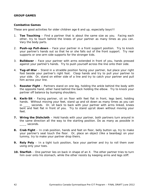#### **GROUP GAMES**

#### **Combative Games**

These are good activities for older children age 6 and up, especially boys!!!

- 1. **Toe Touching** Find a partner that is about the same size as you. Facing each other, try to touch behind the knees of your partner as many times as you can. Vary the body parts.
- 2. **Push-up Pull-down** Face your partner in a front support position. Try to knock your partner's hands out so that he or she falls out of the front support. Try rear supports or one-arm side supports for the stronger kids.
- 3. **Bulldozer** Face your partner with arms extended in front of you, hands pressed against your partner's hands. Try to push yourself across the line onto their side.
- 4. **Tug-of-War** Stand in a straddle position facing your partner, but place your right foot beside your partner's right foot. Clasp hands and try to pull your partner to your side. Or, stand on either side of a line and try to catch your partner and pull him across your line.
- 5. **Rooster Fight** Partners stand on one leg, holding the ankle behind the body with the opposite hand, other hand behind the back holding the elbow. Try to knock your partner off balance by bumping shoulders.
- **6. Kwik-Sit** Facing partner, sit on floor with feet flat in front, legs bent, holding hands. Without moving your feet, stand up and sit down as many times as you can in \_\_\_\_ seconds. Or, sit back to back with your partner with arms linked, knees bent and feet flat in front of you. Try to stand up/sit down without moving your feet.
- **7. Wring the Dishcloth** Hold hands with your partner, both partners turn around in the same direction all the way to the starting position. Do as many as possible in \_\_\_\_ seconds.
- **8. Crab Fight** In crab position, hands and feet on floor, belly button up, try to make your partner's seat touch the floor. Or, place an object (like a beanbag) on your tummy, try to make your partner drop theirs.
- **9. Roly Poly** In a tight tuck position, face your partner and try to roll them over using only your toes.
- **10. Starfish** One partner lies on back in shape of an X. The other partner tries to turn him over onto his stomach, while the other resists by keeping arms and legs stiff.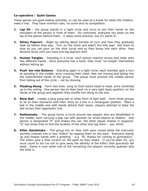### **Co-operative / Quiet Games**

These games are good ending activities, or can be used as a break for when the children need a rest. They have minimal rules, no score and no competition.

- **1. Lap Sit** the group stands in a tight circle and turns to put their hands on the shoulders of the person in front of them. On command, everyone sits down on the lap of the person behind them. It takes some practice, but it's worth it!
- **2. Sticky Popcorn** Begin by talking about kernels of corn and how they gradually heat up before they pop. Turn on the stove and watch the kids pop! Ask them to stop so you can pour on the stick syrup and as they bump into each other, they become stuck until you have one big popcorn ball!
- **3. Human Tangles** Standing in a circle, each person reaches across and holds onto two different hands. Once everyone has a hand, they must "un-tangle" themselves without letting go.
- **4. Push 'em into Balance** Standing again in a tight circle, each member gets a turn at standing in the middle, arms crossing their chest, feet not moving and falling into the outstretched hands of the group. The group must prevent the middle person from falling out of the circle – not by shoving.
- **5. Floating Along** Form two lines, lying on their backs head to head, arms stretched up to the ceiling. One person lies on their back (in a very tight body position) on the hands of the group and together they shuffle him along to the end.
- **6. Blow Ball** (needs a ping pong ball or other form of light ball). Form three groups to lie on their stomachs with their chins on a line in a rectangular position. Place a ball in the middle and with hands behind their backs, players attempt to blow the ball across their opponents' line.
- **7. Rattlesnake** The group forms a circle around two players who are blindfolded in the middle, each carrying a pop can with pennies (or small objects or shaker). One person is designated "it" and shakes the can, the other player shakes in response. "it" has three tries to find the location of the other and tag them – yes, blind!
- **8. Killer Handshake** The group sits on floor with eyes closed while the instructor secretly chooses one or two "killers" by tapping them on the back. Everyone stands up and shakes hands with a greeting – e.g. "Hi, thanks for coming to gymnastics". The killers give a little scratch on the palm as they shake. If you've been hit, you must count to ten (so not to give away the identity of the killer) then gracefully fall dead. Game is over when one of the remaining live players correctly guesses who the killer is.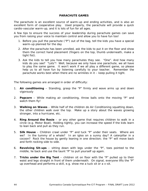#### **PARACHUTE GAMES**

The parachute is an excellent source of warm-up and ending activities, and is also an excellent form of cooperative play. Used properly, the parachute will provide a quick cardio-vascular warm-up, and it is lots of fun for all ages.

A few tips to ensure the success of your leadership during parachute games can save you from raising your voice to maintain control and allow you to have fun too!

- 1. Before you pull the parachute ("P") out of the bag, tell the kids you have a special warm-up planned for the day
- 2. After the parachute has been unrolled, ask the kids to put it on the floor and show them the correct hand placement (fingers on the top, thumb underneath, make a tight fist).
- 3. Ask the kids to tell you how many parachutes they see. "One". And how many kids do you see? "Lots"! Well, because we only have one parachute, we all have to play the same game. It won't work if we all play a different game, so please help us to all have fun by listening carefully to your teacher. Remember the parachute works best when there are no wrinkles in it – keep pulling it tight.

The following games are arranged in order of difficulty:

- 1. **Air conditioning** Standing, grasp the "P" firmly and wave arms up and down vigorously
- 2. **Popcorn**  While making air conditioning, throw balls onto the moving "P" and watch them fly!
- 3. **Walking on Waves** While half of the children do Air Conditioning squatting down, the other children walk over the top. Make up a story about the waves growing stronger, into a hurricane, etc.
- 4. **Ring Around the Rosie** or any other game that requires children to walk in a circle (e.g. Motor Boat). Holding tightly, you can increase the speed if the kids learn to lean back and pull as they run.
- 5. **Silk House** Children crawl under "P" and tuck "P" under their seats. Where are we? In the tummy of a whale? In an igloo on a sunny day? A caterpillar in a cocoon? Rock the house by gently leaning in one direction; the "P" will move back and forth rocking side to side.
- 6. **Revolving Sit-ups** sitting down with legs under the "P", toes pointed to the middle, lie back and use the taunt "P" to pull yourself up again.
- 7. **Tricks under the Big Tent** children sit on floor with the "P" pulled up to their waist and legs straight in front of them underneath. On signal, everyone lifts the "P" up overhead and performs a skill, e.g. show me a tuck sit or a v-sit.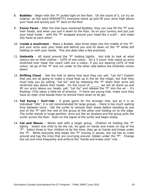- 8. **Bubbles** Begin with the "P" pulled tight on the floor. On the count of 3, (or try an original; on the word SPAGHETTI) everyone stand up and lift your arms high above your head and quickly pull "P" back to the floor
- 9. **Funny Faces** After the kids have mastered Bubbles, they can now lift the "P" over their heads, and when you pull it down to the floor, lie on your tummy and put just your head inside – with the "P" wrapped around your head like a scarf – and make silly faces at each other!
- 10. **Inside a mushroom**  Make a Bubble, take three steps into the middle of the "P", pull your arms over your head and behind you and sit down on the "P" while still holding on with your hands. This one does take a few practises.
- 11. **Umbrella** All stand around the "P" holding tightly. Ask kids to look at what colours are on their clothes – LOTS of one colour. On a 3 count, kids stand up arms stretched over head, the coach calls out a colour, if you are wearing LOTS of that colour, let go of the "P" and run under to the other side before the Umbrella comes down!
- 12. **Drifting Cloud** Get the kids to demo how loud they can yell, "Let Go"! Explain that you are all going to make a cloud float up in the air like magic, but that they must help you by yelling, "Let Go" and by releasing the "P" when their arms are stretched way above their heads. On the count of \_\_\_\_, we will all stand up and lift our arms above our heads, yell, "Let Go" and release the "P" into the air – it's floating! (This takes a little bit of practice. If there are young kids, make sure they have an older child beside them to remind them when to let go).
- 13. **Tail Swing / Surf-ride** A great game for the stronger kids, but as it is an individual "ride", it is not recommended for large groups – there is too much waiting time between turns. Get the surfer to remove their shoes before standing at one end of the "P" with the rest of the group at the other end holding on to the edge. The surfer stands in lunge position, arms out like an airplane and the group pulls the surfer across the floor. Start on the signal of the surfer and begin slowly.
- 14. **Cat and Mouse** Works well with a larger group. Children sit holding the "P" tightly. Select one child to be the cat, he goes on hands and knees on top of the "P". Select three or four children to be the mice, they go on hands and knees under the "P". While everyone else keeps the "P" moving in waves, the cat has to crawl around and tag the mice that are scurrying around, hidden under the "P". Change the cat and mice frequently and enforce the "hands and knees only" rule.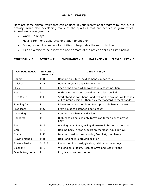#### **ANIMAL WALKS**

Here are some animal walks that can be used in your recreational program to instil a fun activity, while also developing many of the qualities that are needed in gymnastics. Animal walks are great for:

- Warm-up relays
- Moving from one apparatus or station to another
- During a circuit or series of activities to help delay the return to line
- As an exercise to help increase one or more of the athletic abilities listed below:

**STRENGTH – S POWER – P ENDURANCE – E BALANCE – B FLEXIBILITY – F**

| <b>ANIMAL WALK</b> | <b>ATHLETIC</b><br><b>ABILITY</b> | <b>DESCRIPTION</b>                                                                                                          |
|--------------------|-----------------------------------|-----------------------------------------------------------------------------------------------------------------------------|
| Rabbit             | P, B                              | Hopping on 2 feet, holding hands up for ears                                                                                |
| Chicken            | B, E                              | Hold onto your heels while walking                                                                                          |
| <b>Duck</b>        | E                                 | Keep arms flexed while walking in a squat position                                                                          |
| Seal               | S                                 | With palms and toes turned in, drag legs behind                                                                             |
| Inch Worm          | P, F                              | Start standing with hands and feet on the ground, walk hands<br>out to prone position, then walk feet forward to meet hands |
| Running Cat        | P                                 | Dive onto hands then bring feet up outside hands; repeat                                                                    |
| Frog leaps         | P, S                              | From squat to extended hop to squat                                                                                         |
| Lame dog           | B                                 | Running on 2 hands and 1 foot                                                                                               |
| Kangaroo           | P                                 | High hops using legs only (arms can form a pouch across<br>belly                                                            |
| Bear               | B, E                              | Walking on all fours, swing alternate limbs out to the side                                                                 |
| Crab               | S, E                              | Holding body in rear support on the floor, run sideways                                                                     |
| Cricket            | F, E                              | In a crab position, run moving feet first, then hands                                                                       |
| Praying Mantis     | P, B                              | Hop, landing in a praying position                                                                                          |
| Sneaky Snake       | S, F, E                           | Flat out on floor, wriggle along with no arms or legs                                                                       |
| Elephant           | B, E                              | Walking on all fours, keeping arms and legs straight                                                                        |
| Double frog leaps  | P                                 | Frog leaps over each other                                                                                                  |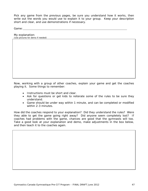Pick any game from the previous pages, be sure you understand how it works, then write out the words you would use to explain it to your group. Keep your description short and clear, and use demonstrations if necessary.

Game:

My explanation:

*(Use pictures for demo if needed)*

Now, working with a group of other coaches, explain your game and get the coaches playing it. Some things to remember:

- Instructions must be short and clear.
- Ask for questions or get kids to reiterate some of the rules to be sure they understand.
- Game should be under way within 1 minute, and can be completed or modified within 2-3 minutes.

How did the coaches respond to your explanation? Did they understand the rules? Were they able to get the game going right away? Did anyone seem completely lost? If coaches had problems with the game, chances are good that the gymnasts will too. Take a good look at your explanation and demo, make adjustments in the box below, and then teach it to the coaches again.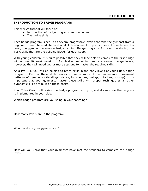#### **INTRODUCTION TO BADGE PROGRAMS**

This week's tutorial will focus on:

- Introduction of badge programs and resources
- The badge skills

Each badge program is set up as several progressive levels that take the gymnast from a beginner to an intermediate level of skill development. Upon successful completion of a level, the gymnast receives a badge or pin. Badge programs focus on developing the basic skills that are the building blocks for each sport.

With young children, it is quite possible that they will be able to complete the first badge within one 10 week session. As children move into more advanced badge levels, however, they will need two or more sessions to master the required skills.

As a Pre-CIT, you will be helping to teach skills in the early levels of your club's badge program. Each of these skills relates to one or more of the fundamental movement patterns of gymnastics (landings, statics, locomotions, swings, rotations, springs). It is important that your gymnasts master these skills with proper technique as all other gymnastic skills are built on these basics.

Your Tutor Coach will review the badge program with you, and discuss how the program is implemented in your club.

Which badge program are you using in your coaching?

How many levels are in the program?

What level are your gymnasts at?

How will you know that your gymnasts have met the standard to complete this badge level?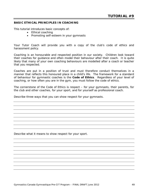#### **BASIC ETHICAL PRINCIPLES IN COACHING**

This tutorial introduces basic concepts of:

- Ethical coaching
- Promoting self-esteem in your gymnasts

Your Tutor Coach will provide you with a copy of the club's code of ethics and harassment policy.

Coaching is an honourable and respected position in our society. Children look toward their coaches for guidance and often model their behaviour after their coach. It is quite likely that many of your own coaching behaviours are modelled after a coach or teacher that you respected.

Coaches are put in a position of trust and must therefore conduct themselves in a manner that reflects this honoured place in a child's life. The framework for a standard of behaviour for gymnastic coaches is the **Code of Ethics**. Regardless of your level of coaching, or how often you are in the gym, you must follow the code of ethics.

The cornerstone of the Code of Ethics is respect – for your gymnasts, their parents, for the club and other coaches, for your sport, and for yourself as professional coach.

Describe three ways that you can show respect for your gymnasts.

Describe what it means to show respect for your sport.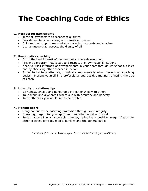## **The Coaching Code of Ethics**

#### **1. Respect for participants**

- Treat all gymnasts with respect at all times
- Provide feedback in a caring and sensitive manner
- Build mutual support amongst all parents, gymnasts and coaches
- Use language that respects the dignity of all

#### **2. Responsible coaching**

- Act in the best interest of the gymnast's whole development
- Present a program that is safe and respectful of gymnasts' limitations
- Keep yourself informed of advancements in your sport through workshops, clinics and by observing other coaches in action
- Strive to be fully attentive, physically and mentally when performing coaching duties. Present yourself in a professional and positive manner reflecting the title of coach

#### **3. Integrity in relationships**

- Be honest, sincere and honourable in relationships with others
- Take credit and give credit where due with accuracy and honesty
- Treat others as you would like to be treated

#### **4. Honour sport**

- Bring honour to the coaching profession through your integrity
- Show high regard for your sport and promote the value of sport
- Project yourself in a favourable manner, reflecting a positive image of sport to other coaches, officials, media, families and the general public

*This Code of Ethics has been adapted from the CAC Coaching Code of Ethics*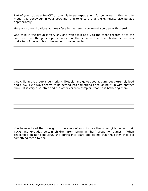Part of your job as a Pre-CIT or coach is to set expectations for behaviour in the gym, to model this behaviour in your coaching, and to ensure that the gymnasts also behave appropriately.

Here are some situations you may face in the gym. How would you deal with them?

One child in the group is very shy and won't talk at all, to the other children or to the coaches. Even though she participates in all the activities, the other children sometimes make fun of her and try to tease her to make her talk.

One child in the group is very bright, likeable, and quite good at gym, but extremely loud and busy. He always seems to be getting into something or roughing it up with another child. It is very disruptive and the other children complain that he is bothering them.

You have noticed that one girl in the class often criticizes the other girls behind their backs and excludes certain children from being in "her" group for games. When challenged on her behaviour, she bursts into tears and claims that the other child did something mean to her.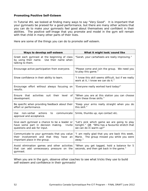#### **Promoting Positive Self-Esteem**

In Tutorial #4, we looked at finding many ways to say "Very Good". It is important that your gymnasts be praised for a good performance, but there are many other actions that you can do to make your gymnasts feel good about themselves and confident in their abilities. The positive self-image that you promote and model in the gym will remain with that child in many other parts of their lives.

Here are some of the things you can do to promote self esteem.

| Ways to develop self-esteem                                                                                                  | What it might look/sound like                                                                                           |  |  |
|------------------------------------------------------------------------------------------------------------------------------|-------------------------------------------------------------------------------------------------------------------------|--|--|
| Greet each gymnast at the beginning of class<br>by using their name. Use their name when<br>talking to them.                 | "Sarah, your cartwheels are really improving."                                                                          |  |  |
| Encourage active participation from everyone.                                                                                | "Please come and join the group. We need you<br>to play this game."                                                     |  |  |
| Show confidence in their ability to learn.                                                                                   | "I know this skill seems difficult, but if we really<br>work at it, I know we can do it."                               |  |  |
| Encourage effort without always focusing on<br>results.                                                                      | "Everyone really worked hard today!"                                                                                    |  |  |
| activities suit their level<br>Ensure that<br>of<br>development.                                                             | "When you are at this station you can choose<br>from these three skills."                                               |  |  |
| Be specific when providing feedback about their<br>effort or performance.                                                    | "Keep your arms really straight when you do<br>this skill."                                                             |  |  |
| Use.<br>non-verbal<br>actions<br>communicate<br>to<br>approval and acceptance.                                               | Smile, thumbs up, eye contact etc.                                                                                      |  |  |
| Give each gymnast a chance to be a leader or<br>have some part in decision making.<br>Invite<br>questions and ask for input. | "Let's pick which game we are going to play<br>tonight." OR "Who has a favourite stretch that<br>we can do in warm-up?" |  |  |
| Communicate to your gymnasts that you value<br>their involvement and that they have an<br>important place in the group.      | "I am really glad that you are back this week,<br>Marie. The group missed you while you were<br>away."                  |  |  |
| Avoid elimination games and other activities<br>that can add unnecessary pressure on the<br>gymnast.                         | "When you get tagged, hold a balance for 5<br>seconds, and then get back in the game."                                  |  |  |

When you are in the gym, observe other coaches to see what tricks they use to build self-esteem and confidence in their gymnasts!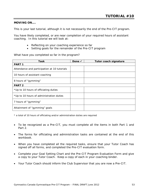### **MOVING ON….**

This is your last tutorial, although it is not necessarily the end of the Pre-CIT program.

You have likely completed, or are near completion of your required hours of assistant coaching. In this tutorial we will look at:

- Reflecting on your coaching experience so far
- Setting goals for the remainder of the Pre-CIT program

What have you completed so far in the program?

| Task                                         | Done $\checkmark$ | Tutor coach signature |  |
|----------------------------------------------|-------------------|-----------------------|--|
| <b>PART 1</b>                                |                   |                       |  |
| Attendance and participation at 10 tutorials |                   |                       |  |
| 10 hours of assistant coaching               |                   |                       |  |
| 8 hours of "gymming"                         |                   |                       |  |
| <b>PART 2</b>                                |                   |                       |  |
| *Up to 10 hours of officiating duties        |                   |                       |  |
| *Up to 10 hours of administration duties     |                   |                       |  |
| 7 hours of "gymming"                         |                   |                       |  |
| Attainment of "gymming" goals                |                   |                       |  |

*\* a total of 10 hours of officiating and/or administration duties are required*

- To be recognized as a Pre-CIT, you must complete all the items in both Part 1 and Part 2.
- The forms for officiating and administration tasks are contained at the end of this workbook.
- When you have completed all the required tasks, ensure that your Tutor Coach has signed off all forms, and completed the Pre-CIT evaluation form.
- Complete your Goal Setting Chart and the Pre-CIT Program Evaluation Form and give a copy to your Tutor Coach. Keep a copy of each in your coaching binder.
- Your Tutor Coach should inform the Club Supervisor that you are now a Pre-CIT.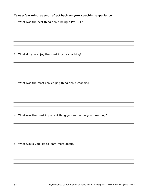## **Take a few minutes and reflect back on your coaching experience.**

1. What was the best thing about being a Pre-CIT?

2. What did you enjoy the most in your coaching?

3. What was the most challenging thing about coaching?

4. What was the most important thing you learned in your coaching?

5. What would you like to learn more about?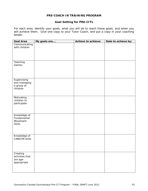#### **PRE-COACH IN TRAINING PROGRAM**

## **Goal Setting for PRE-CITs**

For each area, identify your goals, what you will do to reach these goals, and when you will achieve them. Give one copy to your Tutor Coach, and put a copy in your coaching binder.

| <b>Goal Area</b>                     | My goals are | Actions to achieve: | Date to achieve by: |
|--------------------------------------|--------------|---------------------|---------------------|
| Communicating                        |              |                     |                     |
| with children                        |              |                     |                     |
|                                      |              |                     |                     |
|                                      |              |                     |                     |
|                                      |              |                     |                     |
| Teaching                             |              |                     |                     |
| Games                                |              |                     |                     |
|                                      |              |                     |                     |
|                                      |              |                     |                     |
|                                      |              |                     |                     |
|                                      |              |                     |                     |
| Supervising                          |              |                     |                     |
| and managing                         |              |                     |                     |
| a group of<br>children               |              |                     |                     |
|                                      |              |                     |                     |
|                                      |              |                     |                     |
| Motivating                           |              |                     |                     |
| children to                          |              |                     |                     |
| participate                          |              |                     |                     |
|                                      |              |                     |                     |
|                                      |              |                     |                     |
| Knowledge of                         |              |                     |                     |
| Fundamental                          |              |                     |                     |
| Movement                             |              |                     |                     |
| <b>Skills</b>                        |              |                     |                     |
|                                      |              |                     |                     |
|                                      |              |                     |                     |
|                                      |              |                     |                     |
| Knowledge of<br><b>CANGYM skills</b> |              |                     |                     |
|                                      |              |                     |                     |
|                                      |              |                     |                     |
|                                      |              |                     |                     |
|                                      |              |                     |                     |
| Creating                             |              |                     |                     |
| activities that                      |              |                     |                     |
| are age-                             |              |                     |                     |
| appropriate                          |              |                     |                     |
|                                      |              |                     |                     |
|                                      |              |                     |                     |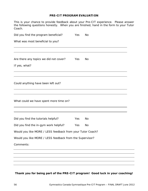#### **PRE-CIT PROGRAM EVALUATION**

This is your chance to provide feedback about your Pre-CIT experience. Please answer the following questions honestly. When you are finished, hand in the form to your Tutor Coach.

| Did you find the program beneficial?                       | Yes | No |  |
|------------------------------------------------------------|-----|----|--|
| What was most beneficial to you?                           |     |    |  |
|                                                            |     |    |  |
| Are there any topics we did not cover?                     | Yes | No |  |
| If yes, what?                                              |     |    |  |
|                                                            |     |    |  |
| Could anything have been left out?                         |     |    |  |
| What could we have spent more time on?                     |     |    |  |
| Did you find the tutorials helpful?                        | Yes | No |  |
| Did you find the in-gym work helpful?                      | Yes | No |  |
| Would you like MORE / LESS feedback from your Tutor Coach? |     |    |  |
| Would you like MORE / LESS feedback from the Supervisor?   |     |    |  |
| Comments:                                                  |     |    |  |
|                                                            |     |    |  |
|                                                            |     |    |  |
|                                                            |     |    |  |

**Thank you for being part of the PRE-CIT program! Good luck in your coaching!**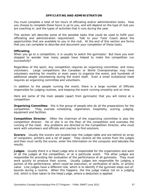#### **OFFICIATING AND ADMINISTRATION**

You must complete a total of ten hours of officiating and/or administration tasks. How you choose to complete these hours is up to you, and will depend on the type of club you are coaching in, and the types of activities that it runs during the year.

This section will describe some of the possible tasks that could be used to fulfill your officiating and administration requirement. Talk to your Tutor Coach about the opportunities that are available to you in the club. At the end of this section are forms that you can complete to describe and document your completion of these tasks.

#### **Officiating**

When you go to a competition, it is usually to watch the gymnasts! But have you ever stopped to wonder how many people have helped to make the competition run successfully?

Regardless of the sport, any competition requires an organizing committee, and many volunteers. Large competitions like Canadian or World Championships may have volunteers working for months or even years to organize the event, and hundreds of additional people volunteering during the event itself. Even a small invitational meet requires an organizing committee and volunteers.

In addition to the people running the event, there is a large number of Officials responsible for judging routines, and keeping the event running smoothly and on time.

Here are some of the main people (apart from gymnasts) that you will notice at a competition:

**Organizing Committee**: this is the group of people who do all the preparations for the competition. They oversee scheduling, registration, hospitality, scoring, judging, equipment and facilities.

**Competition Director**: Often the chairman of the organizing committee is also the competition director. He or she is on the floor of the competition and oversees the running of the meet. Any problems are directed to the Competition Director, who must work with volunteers and officials and coaches to find solutions.

**Scorers**: Usually the scorers are located near the judges table and are behind an array of computers, printers and a lot of paper. They receive all the scores from the judges and then must verify the scores, enter the information on the computer and tabulate the results.

**Judges**: Usually there is a Head Judge who is responsible for the organization and work of all the judges at the competition, or at a particular event. The other judges are responsible for providing fair evaluation of the performance of all gymnasts. They must work quickly to produce their scores. Usually judges are responsible for judging a portion of the performance, which could be execution, or verification of skills, or artistic value. Line judges have a different role, which is to identify if the gymnast steps out-ofbounds during a routine. When this happens, the line judge makes not on a judging chit, which is then taken to the Head Judge, where a deduction is applied.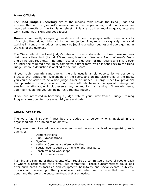#### **Minor Officials:**

The **Head Judge's Secretary** sits at the judging table beside the Head Judge and ensures that all the gymnast's names are in the proper order, and that scores are recorded correctly on the tabulation sheet. This is a job that requires quick, accurate work, some math skills and good focus!

**Runners** are usually younger gymnasts who sit near the judges, with the responsibility of carrying the judging chits back to the head judge. They must move quickly, but avoid walking in front of the judges (who may be judging another routine) and avoid getting in the way of the gymnast.

The **Timer** sits at the Head Judge's table and uses a stopwatch to time those routines that have a time limit (i.e. all RG routines, Men's and Women's Floor, Women's Beam and all Aerobic routines). The timer records the duration of the routine and if it is over or under the required time limits, completes a timer form which is sent back to the Head Judge, where a deduction is applied to the final score.

If your club regularly runs events, there is usually ample opportunity to get some practice with officiating. Depending on the sport, and on the size/profile of the meet, you could be asked to be a line judge, timer or runner. A large meet like provincial championships, usually requires that minor officials have some special training but smaller invitationals, or in-club events may not require this training. At in-club meets, you might even find yourself being recruited into judging!

If you are interested in becoming a judge, talk to your Tutor Coach. Judge Training Programs are open to those aged 16 years and older.

#### **ADMINISTRATION**

The word "administration" describes the duties of a person who is involved in the organizing and/or running of an activity.

Every event requires administration – you could become involved in organizing such events as:

- Demonstrations
- Club Gymnaestrada
- GymFest
- National Gymnastics Week activities
- Special events such as an end-of-the-year party
- Coach training workshops
- In-club competitions

Planning and running of these events often requires a committee of several people, each of whom is responsible for a small sub-committee. These subcommittees could look after such areas as facilities and equipment, hospitality and social events, publicity, officials, and decorating. The type of event will determine the tasks that need to be done, and therefore the subcommittees that are needed.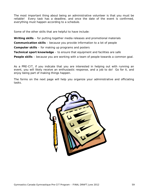The most important thing about being an administrative volunteer is that you must be reliable! Every task has a deadline, and once the date of the event is confirmed, everything must happen according to a schedule.

Some of the other skills that are helpful to have include:

**Writing skills** – for putting together media releases and promotional materials

**Communication skills** – because you provide information to a lot of people

**Computer skills** – for making up programs and posters

**Technical sport knowledge** – to ensure that equipment and facilities are safe

**People skills** – because you are working with a team of people towards a common goal.

As a PRE-CIT, if you indicate that you are interested in helping out with running an event, you will likely receive an enthusiastic response, and a job to do! Go for it, and enjoy being part of making things happen.

The forms on the next page will help you organize your administrative and officiating tasks.